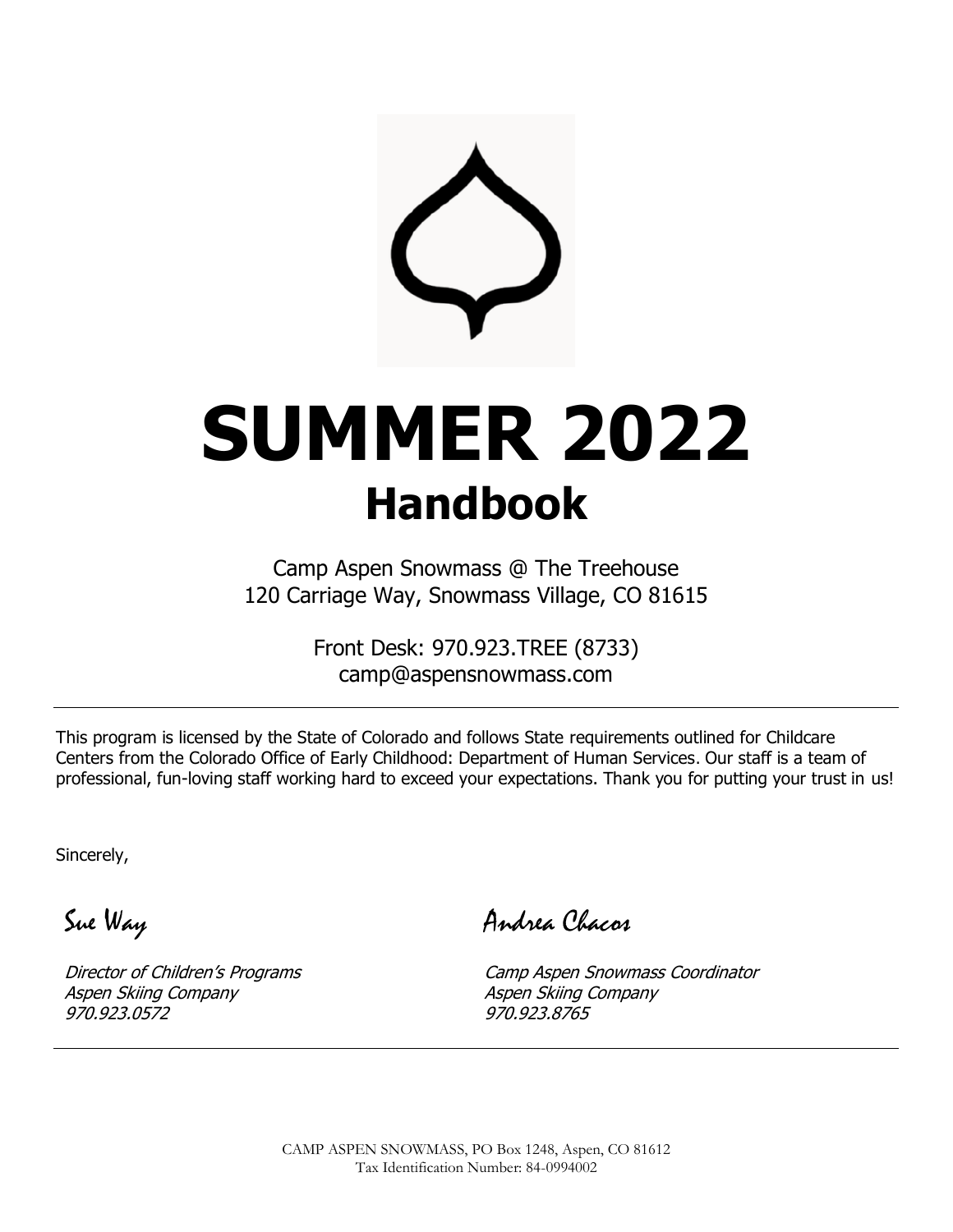

Camp Aspen Snowmass @ The Treehouse 120 Carriage Way, Snowmass Village, CO 81615

> Front Desk: 970.923.TREE (8733) camp@aspensnowmass.com

This program is licensed by the State of Colorado and follows State requirements outlined for Childcare Centers from the Colorado Office of Early Childhood: Department of Human Services. Our staff is a team of professional, fun-loving staff working hard to exceed your expectations. Thank you for putting your trust in us!

Sincerely,

Sue Way

Director of Children's Programs Aspen Skiing Company 970.923.0572

Andrea Chacos

Camp Aspen Snowmass Coordinator Aspen Skiing Company 970.923.8765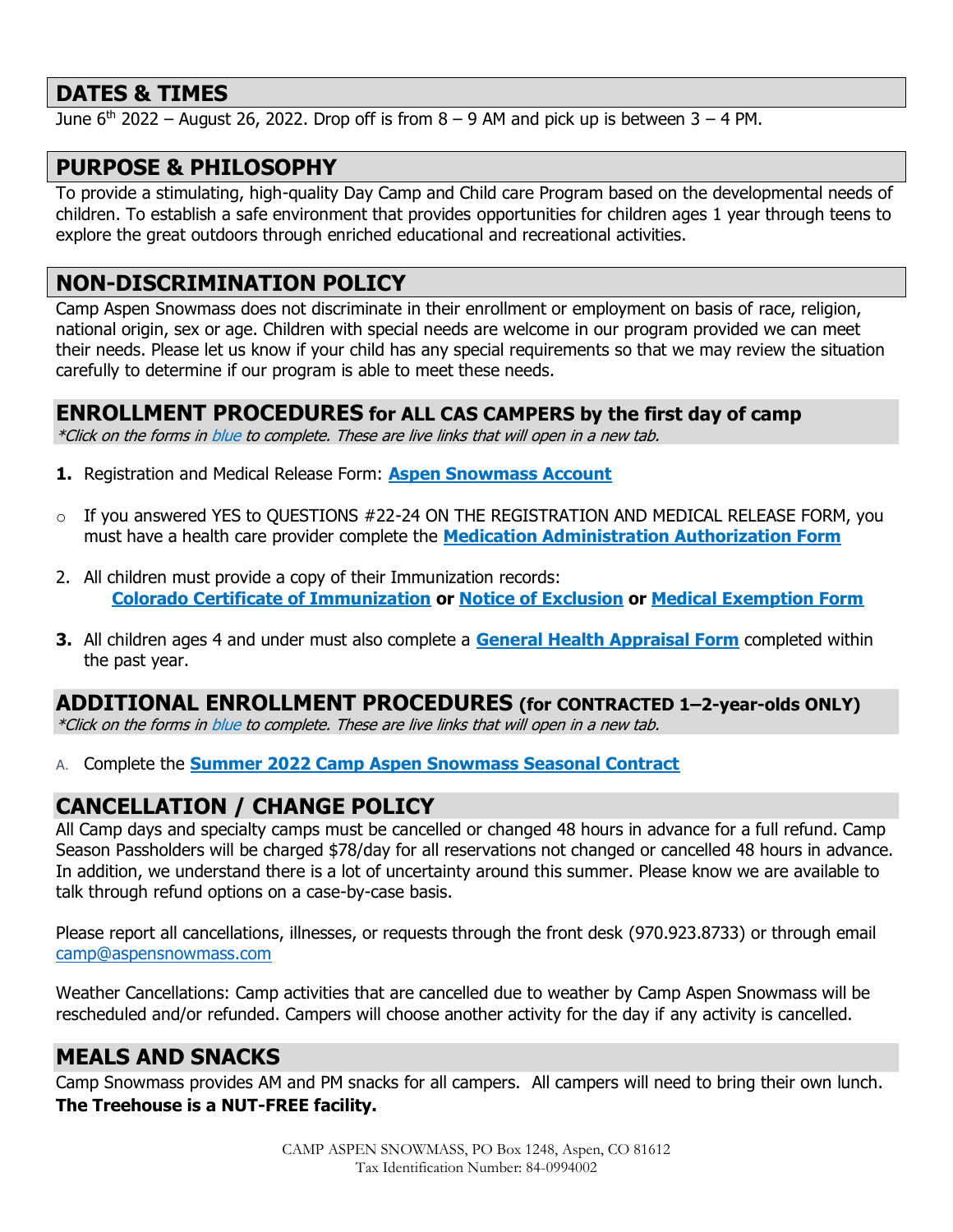#### **DATES & TIMES**

June  $6<sup>th</sup>$  2022 – August 26, 2022. Drop off is from  $8 - 9$  AM and pick up is between  $3 - 4$  PM.

#### **PURPOSE & PHILOSOPHY**

To provide a stimulating, high-quality Day Camp and Child care Program based on the developmental needs of children. To establish a safe environment that provides opportunities for children ages 1 year through teens to explore the great outdoors through enriched educational and recreational activities.

#### **NON-DISCRIMINATION POLICY**

Camp Aspen Snowmass does not discriminate in their enrollment or employment on basis of race, religion, national origin, sex or age. Children with special needs are welcome in our program provided we can meet their needs. Please let us know if your child has any special requirements so that we may review the situation carefully to determine if our program is able to meet these needs.

**ENROLLMENT PROCEDURES for ALL CAS CAMPERS by the first day of camp**

\*Click on the forms in blue to complete. These are live links that will open in a new tab.

- **1.** Registration and Medical Release Form: **[Aspen Snowmass Account](https://account.aspensnowmass.com/landing)**
- o If you answered YES to QUESTIONS #22-24 ON THE REGISTRATION AND MEDICAL RELEASE FORM, you must have a health care provider complete the **[Medication Administration Authorization Form](https://aspensnowmass0.sharepoint.com/:w:/s/S3/EW6NMo5VaNxIoKrl6Zj3c1UBUxvGDs6kcS7Ph_wuJF-ZGw?e=neuhQq)**
- 2. All children must provide a copy of their Immunization records: **[Colorado Certificate of Immunization](https://drive.google.com/file/d/1vQwP2sOF_4javJNM0LHydbjZZA9HtOeB/view?usp=sharing) or [Notice of Exclusion](https://drive.google.com/file/d/1w7pjP3wt0gzagAobMq8wS5ITF7WXiBD5/view?usp=sharing) or [Medical Exemption Form](https://drive.google.com/file/d/1PnMIMIP8j0exYai6-sF9AW4vkzRMeL6F/view?usp=sharing)**
- **3.** All children ages 4 and under must also complete a **[General Health Appraisal Form](https://documentcloud.adobe.com/link/review?uri=urn:aaid:scds:US:3df2b9ec-14d1-4a70-8317-cba3c9de0208)** completed within the past year.

# **ADDITIONAL ENROLLMENT PROCEDURES (for CONTRACTED 1–2-year-olds ONLY)**

\*Click on the forms in blue to complete. These are live links that will open in a new tab.

A. Complete the **[Summer 2022 Camp Aspen Snowmass Seasonal Contract](https://forms.office.com/Pages/ResponsePage.aspx?id=qv9thWp9g0mpaXHT1Sfyqgxb9EfngjxKiZJKyZ7or4pUNjRWUUE0VDFZQjlYSTYyT1JMSU1IWVdRSi4u)**

#### **CANCELLATION / CHANGE POLICY**

All Camp days and specialty camps must be cancelled or changed 48 hours in advance for a full refund. Camp Season Passholders will be charged \$78/day for all reservations not changed or cancelled 48 hours in advance. In addition, we understand there is a lot of uncertainty around this summer. Please know we are available to talk through refund options on a case-by-case basis.

Please report all cancellations, illnesses, or requests through the front desk (970.923.8733) or through email [camp@aspensnowmass.com](mailto:camp@aspensnowmass.com)

Weather Cancellations: Camp activities that are cancelled due to weather by Camp Aspen Snowmass will be rescheduled and/or refunded. Campers will choose another activity for the day if any activity is cancelled.

#### **MEALS AND SNACKS**

Camp Snowmass provides AM and PM snacks for all campers. All campers will need to bring their own lunch. **The Treehouse is a NUT-FREE facility.**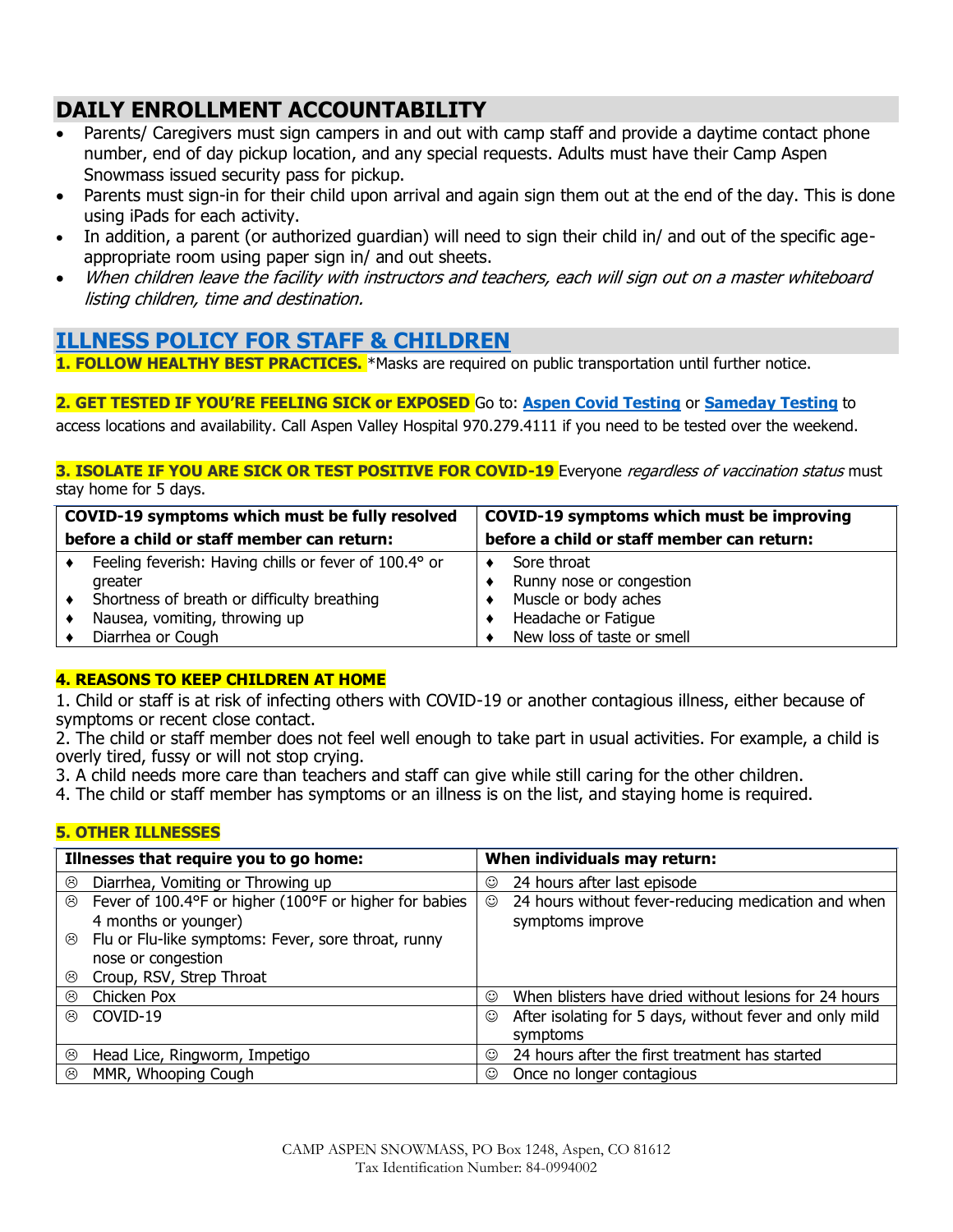# **DAILY ENROLLMENT ACCOUNTABILITY**

- Parents/ Caregivers must sign campers in and out with camp staff and provide a daytime contact phone number, end of day pickup location, and any special requests. Adults must have their Camp Aspen Snowmass issued security pass for pickup.
- Parents must sign-in for their child upon arrival and again sign them out at the end of the day. This is done using iPads for each activity.
- In addition, a parent (or authorized guardian) will need to sign their child in/ and out of the specific ageappropriate room using paper sign in/ and out sheets.
- When children leave the facility with instructors and teachers, each will sign out on a master whiteboard listing children, time and destination.

#### **[ILLNESS POLICY FOR STAFF & CHILDREN](https://aspensnowmass0.sharepoint.com/:w:/s/S3/EfZn5nJErodIq4jRAyr91pYBjD34ao9jsTt1KxMNGhKv0Q?email=achacos%40aspensnowmass.com&e=oYec0M)**

**1. FOLLOW HEALTHY BEST PRACTICES.** \*Masks are required on public transportation until further notice.

#### **2. GET TESTED IF YOU'RE FEELING SICK or EXPOSED** Go to: **[Aspen Covid Testing](https://covid19.pitkincounty.com/?sfid=11744#aspen-covid-testing)** or **[Sameday Testing](https://covid19.pitkincounty.com/?sfid=11744#sameday-testing)** to

access locations and availability. Call Aspen Valley Hospital 970.279.4111 if you need to be tested over the weekend.

#### **3. ISOLATE IF YOU ARE SICK OR TEST POSITIVE FOR COVID-19** Everyone *regardless of vaccination status* must stay home for 5 days.

| COVID-19 symptoms which must be fully resolved |                                                       | COVID-19 symptoms which must be improving  |                            |
|------------------------------------------------|-------------------------------------------------------|--------------------------------------------|----------------------------|
| before a child or staff member can return:     |                                                       | before a child or staff member can return: |                            |
|                                                | Feeling feverish: Having chills or fever of 100.4° or |                                            | Sore throat                |
|                                                | greater                                               |                                            | Runny nose or congestion   |
|                                                | Shortness of breath or difficulty breathing           |                                            | Muscle or body aches       |
|                                                | Nausea, vomiting, throwing up                         |                                            | Headache or Fatique        |
|                                                | Diarrhea or Cough                                     |                                            | New loss of taste or smell |

#### **4. REASONS TO KEEP CHILDREN AT HOME**

1. Child or staff is at risk of infecting others with COVID-19 or another contagious illness, either because of symptoms or recent close contact.

2. The child or staff member does not feel well enough to take part in usual activities. For example, a child is overly tired, fussy or will not stop crying.

- 3. A child needs more care than teachers and staff can give while still caring for the other children.
- 4. The child or staff member has symptoms or an illness is on the list, and staying home is required.

#### **5. OTHER ILLNESSES**

| Illnesses that require you to go home: |                                                        | When individuals may return: |                                                         |
|----------------------------------------|--------------------------------------------------------|------------------------------|---------------------------------------------------------|
| ☺                                      | Diarrhea, Vomiting or Throwing up                      | ☺                            | 24 hours after last episode                             |
| ⊛                                      | Fever of 100.4°F or higher (100°F or higher for babies | ☺                            | 24 hours without fever-reducing medication and when     |
|                                        | 4 months or younger)                                   |                              | symptoms improve                                        |
| ⊛                                      | Flu or Flu-like symptoms: Fever, sore throat, runny    |                              |                                                         |
|                                        | nose or congestion                                     |                              |                                                         |
| ☺                                      | Croup, RSV, Strep Throat                               |                              |                                                         |
| ⊛                                      | Chicken Pox                                            | ☺                            | When blisters have dried without lesions for 24 hours   |
| $\odot$                                | COVID-19                                               | ☺                            | After isolating for 5 days, without fever and only mild |
|                                        |                                                        |                              | symptoms                                                |
| ☺                                      | Head Lice, Ringworm, Impetigo                          | ☺                            | 24 hours after the first treatment has started          |
| ⊛                                      | MMR, Whooping Cough                                    | ☺                            | Once no longer contagious                               |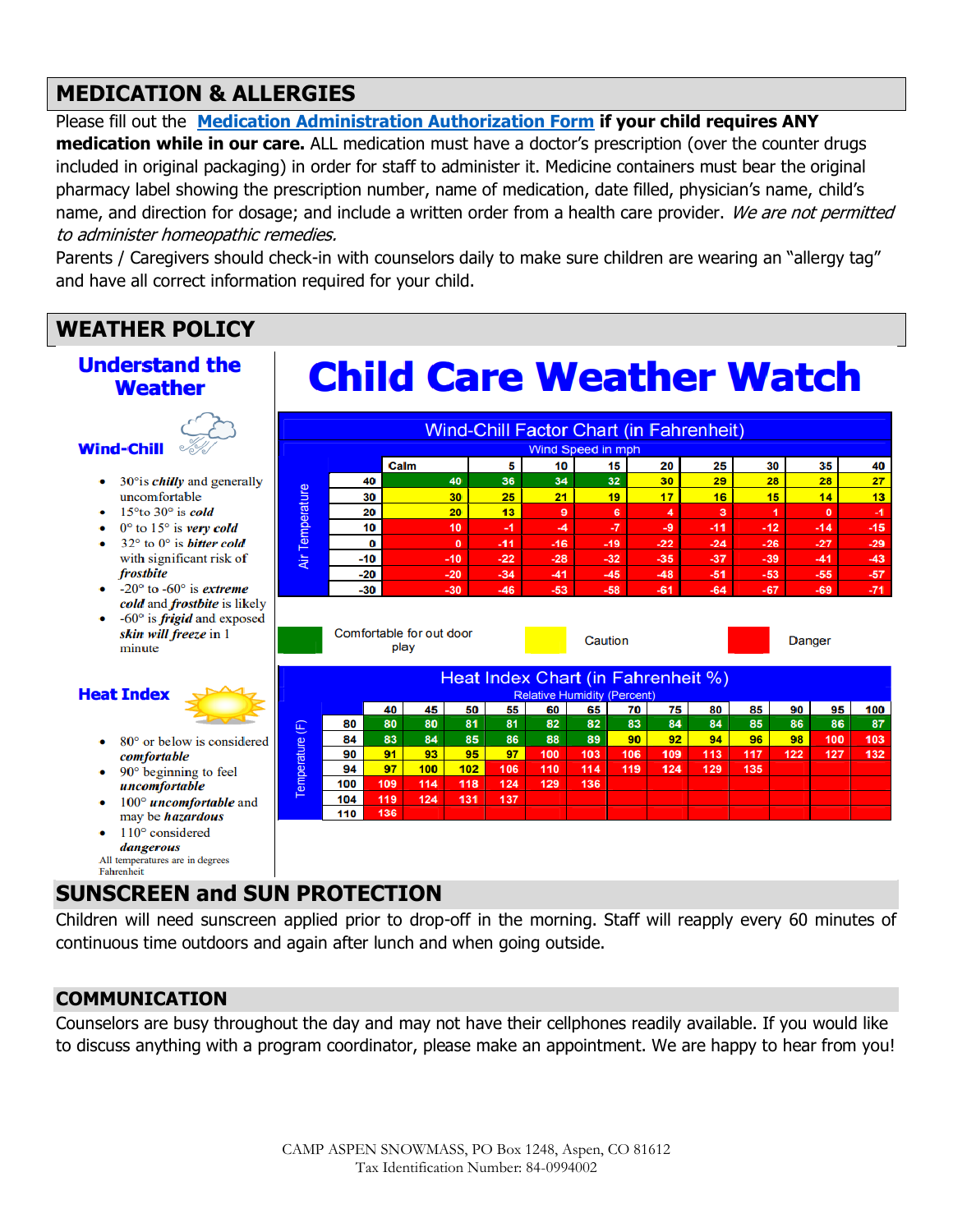# **MEDICATION & ALLERGIES**

Please fill out the **[Medication Administration Authorization Form](https://aspensnowmass0.sharepoint.com/:w:/s/S3/EW6NMo5VaNxIoKrl6Zj3c1UBUxvGDs6kcS7Ph_wuJF-ZGw?e=neuhQq) if your child requires ANY** 

**medication while in our care.** ALL medication must have a doctor's prescription (over the counter drugs included in original packaging) in order for staff to administer it. Medicine containers must bear the original pharmacy label showing the prescription number, name of medication, date filled, physician's name, child's name, and direction for dosage; and include a written order from a health care provider. We are not permitted to administer homeopathic remedies.

Parents / Caregivers should check-in with counselors daily to make sure children are wearing an "allergy tag" and have all correct information required for your child.

# **WEATHER POLICY**



## **SUNSCREEN and SUN PROTECTION**

Children will need sunscreen applied prior to drop-off in the morning. Staff will reapply every 60 minutes of continuous time outdoors and again after lunch and when going outside.

#### **COMMUNICATION**

Counselors are busy throughout the day and may not have their cellphones readily available. If you would like to discuss anything with a program coordinator, please make an appointment. We are happy to hear from you!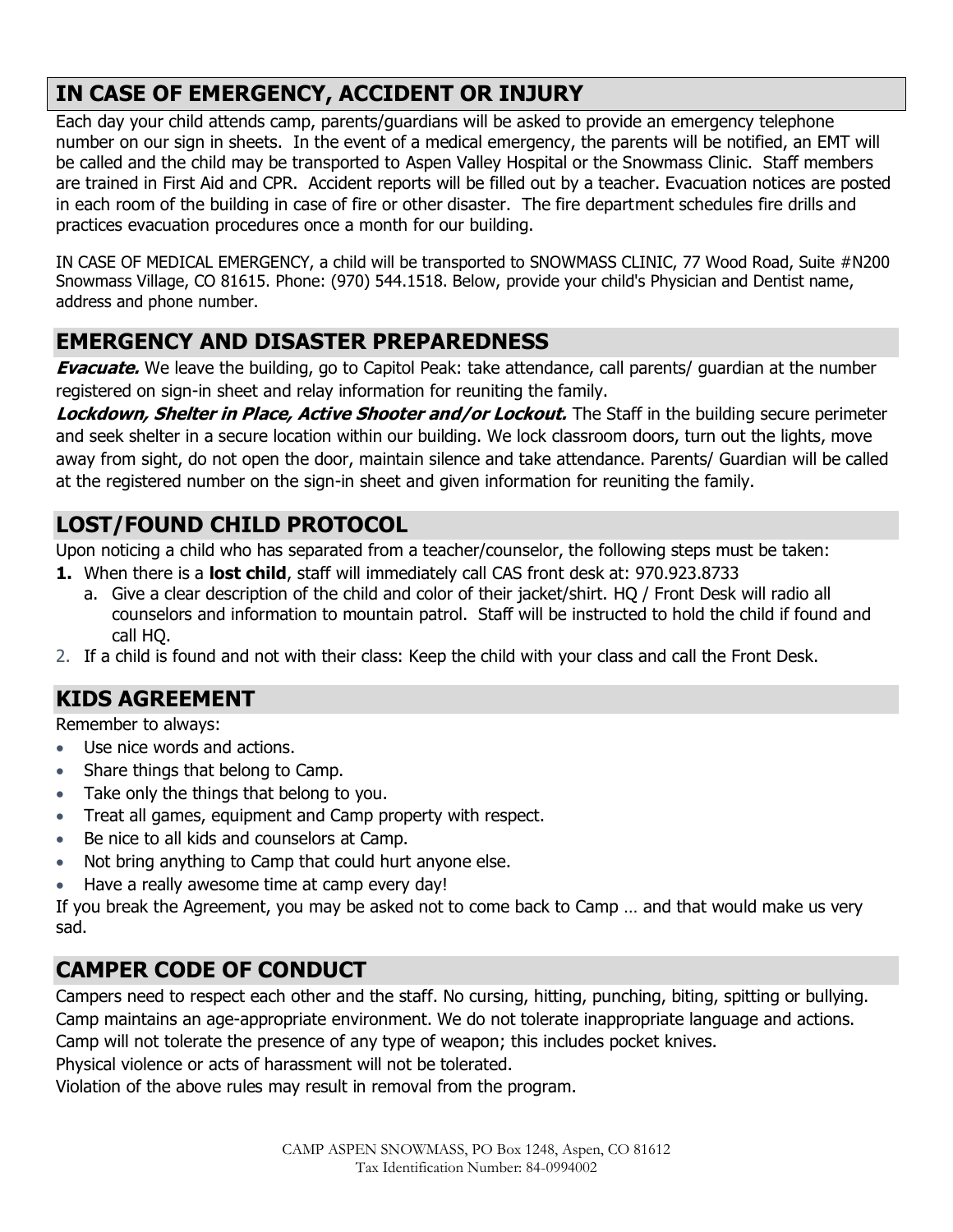# **IN CASE OF EMERGENCY, ACCIDENT OR INJURY**

Each day your child attends camp, parents/guardians will be asked to provide an emergency telephone number on our sign in sheets. In the event of a medical emergency, the parents will be notified, an EMT will be called and the child may be transported to Aspen Valley Hospital or the Snowmass Clinic. Staff members are trained in First Aid and CPR. Accident reports will be filled out by a teacher. Evacuation notices are posted in each room of the building in case of fire or other disaster. The fire department schedules fire drills and practices evacuation procedures once a month for our building.

IN CASE OF MEDICAL EMERGENCY, a child will be transported to SNOWMASS CLINIC, 77 Wood Road, Suite #N200 Snowmass Village, CO 81615. Phone: (970) 544.1518. Below, provide your child's Physician and Dentist name, address and phone number.

#### **EMERGENCY AND DISASTER PREPAREDNESS**

**Evacuate.** We leave the building, go to Capitol Peak: take attendance, call parents/ guardian at the number registered on sign-in sheet and relay information for reuniting the family.

**Lockdown, Shelter in Place, Active Shooter and/or Lockout.** The Staff in the building secure perimeter and seek shelter in a secure location within our building. We lock classroom doors, turn out the lights, move away from sight, do not open the door, maintain silence and take attendance. Parents/ Guardian will be called at the registered number on the sign-in sheet and given information for reuniting the family.

# **LOST/FOUND CHILD PROTOCOL**

Upon noticing a child who has separated from a teacher/counselor, the following steps must be taken:

- **1.** When there is a **lost child**, staff will immediately call CAS front desk at: 970.923.8733
	- a. Give a clear description of the child and color of their jacket/shirt. HQ / Front Desk will radio all counselors and information to mountain patrol. Staff will be instructed to hold the child if found and call HQ.
- 2. If a child is found and not with their class: Keep the child with your class and call the Front Desk.

## **KIDS AGREEMENT**

Remember to always:

- Use nice words and actions.
- Share things that belong to Camp.
- Take only the things that belong to you.
- Treat all games, equipment and Camp property with respect.
- Be nice to all kids and counselors at Camp.
- Not bring anything to Camp that could hurt anyone else.
- Have a really awesome time at camp every day!

If you break the Agreement, you may be asked not to come back to Camp … and that would make us very sad.

## **CAMPER CODE OF CONDUCT**

Campers need to respect each other and the staff. No cursing, hitting, punching, biting, spitting or bullying. Camp maintains an age-appropriate environment. We do not tolerate inappropriate language and actions. Camp will not tolerate the presence of any type of weapon; this includes pocket knives.

Physical violence or acts of harassment will not be tolerated.

Violation of the above rules may result in removal from the program.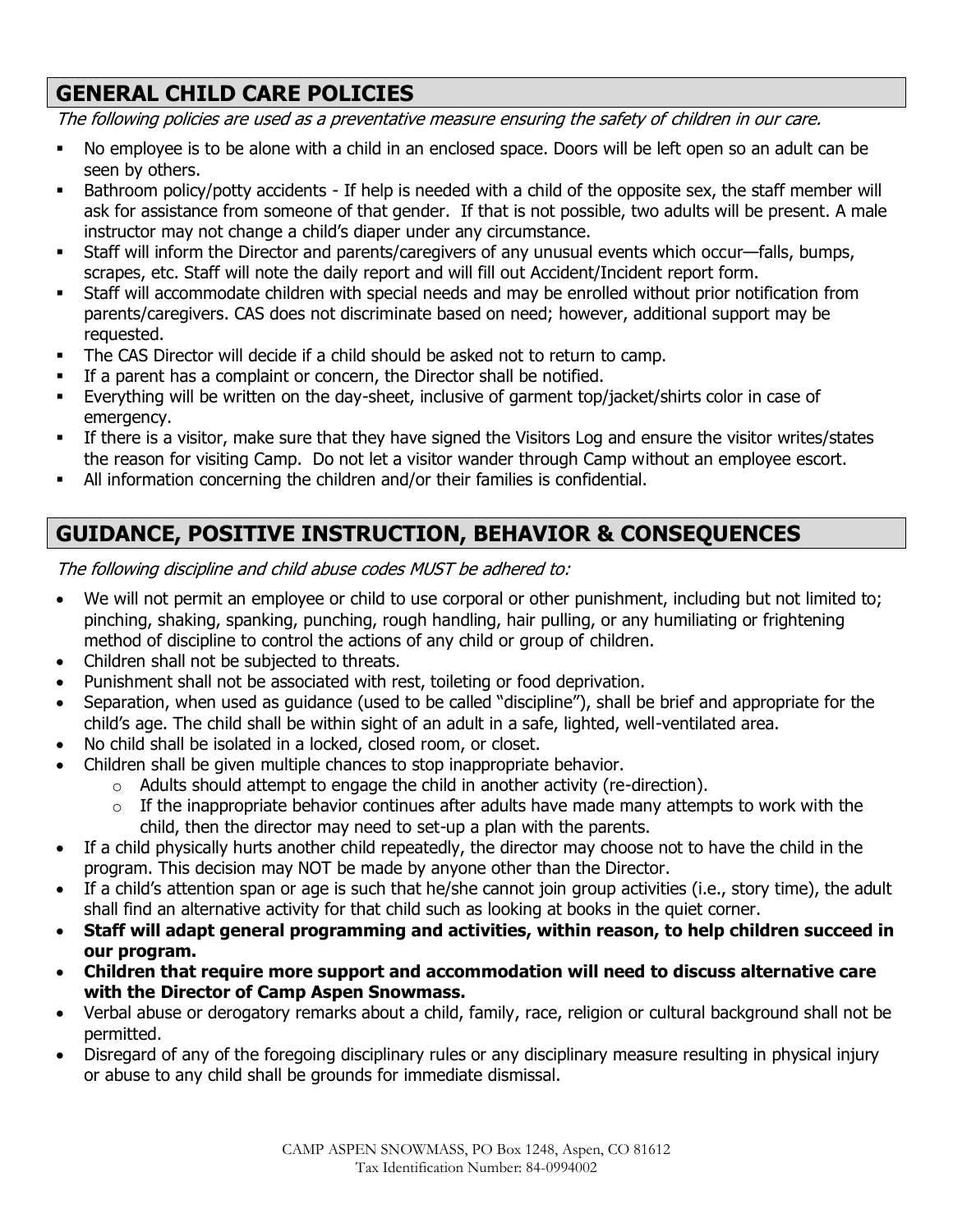# **GENERAL CHILD CARE POLICIES**

The following policies are used as a preventative measure ensuring the safety of children in our care.

- No employee is to be alone with a child in an enclosed space. Doors will be left open so an adult can be seen by others.
- Bathroom policy/potty accidents If help is needed with a child of the opposite sex, the staff member will ask for assistance from someone of that gender. If that is not possible, two adults will be present. A male instructor may not change a child's diaper under any circumstance.
- Staff will inform the Director and parents/caregivers of any unusual events which occur—falls, bumps, scrapes, etc. Staff will note the daily report and will fill out Accident/Incident report form.
- Staff will accommodate children with special needs and may be enrolled without prior notification from parents/caregivers. CAS does not discriminate based on need; however, additional support may be requested.
- The CAS Director will decide if a child should be asked not to return to camp.
- If a parent has a complaint or concern, the Director shall be notified.
- Everything will be written on the day-sheet, inclusive of garment top/jacket/shirts color in case of emergency.
- If there is a visitor, make sure that they have signed the Visitors Log and ensure the visitor writes/states the reason for visiting Camp. Do not let a visitor wander through Camp without an employee escort.
- All information concerning the children and/or their families is confidential.

# **GUIDANCE, POSITIVE INSTRUCTION, BEHAVIOR & CONSEQUENCES**

The following discipline and child abuse codes MUST be adhered to:

- We will not permit an employee or child to use corporal or other punishment, including but not limited to; pinching, shaking, spanking, punching, rough handling, hair pulling, or any humiliating or frightening method of discipline to control the actions of any child or group of children.
- Children shall not be subjected to threats.
- Punishment shall not be associated with rest, toileting or food deprivation.
- Separation, when used as guidance (used to be called "discipline"), shall be brief and appropriate for the child's age. The child shall be within sight of an adult in a safe, lighted, well-ventilated area.
- No child shall be isolated in a locked, closed room, or closet.
- Children shall be given multiple chances to stop inappropriate behavior.
	- $\circ$  Adults should attempt to engage the child in another activity (re-direction).
		- $\circ$  If the inappropriate behavior continues after adults have made many attempts to work with the child, then the director may need to set-up a plan with the parents.
- If a child physically hurts another child repeatedly, the director may choose not to have the child in the program. This decision may NOT be made by anyone other than the Director.
- If a child's attention span or age is such that he/she cannot join group activities (i.e., story time), the adult shall find an alternative activity for that child such as looking at books in the quiet corner.
- **Staff will adapt general programming and activities, within reason, to help children succeed in our program.**
- **Children that require more support and accommodation will need to discuss alternative care with the Director of Camp Aspen Snowmass.**
- Verbal abuse or derogatory remarks about a child, family, race, religion or cultural background shall not be permitted.
- Disregard of any of the foregoing disciplinary rules or any disciplinary measure resulting in physical injury or abuse to any child shall be grounds for immediate dismissal.